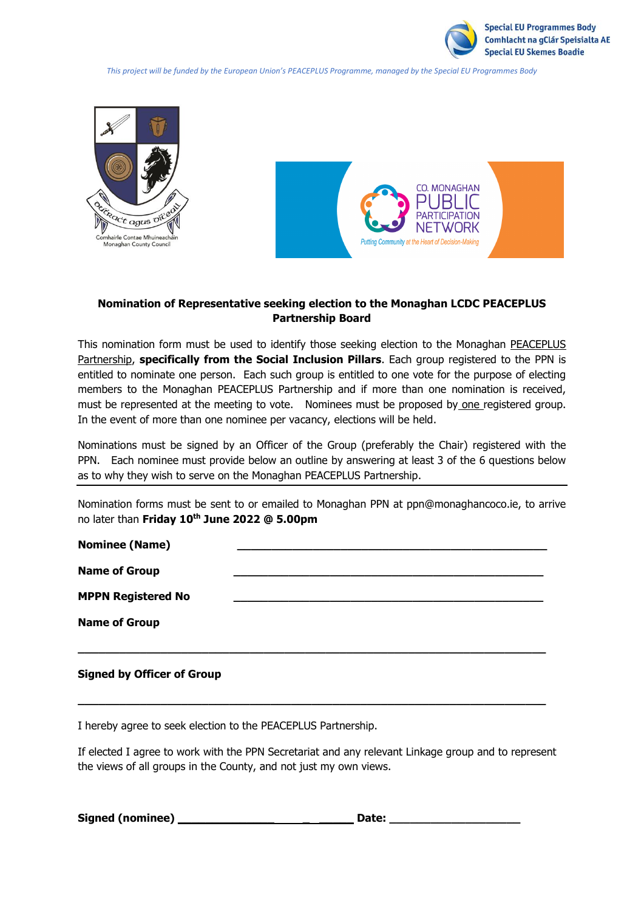

*This project will be funded by the European Union's PEACEPLUS Programme, managed by the Special EU Programmes Body*





## **Nomination of Representative seeking election to the Monaghan LCDC PEACEPLUS Partnership Board**

This nomination form must be used to identify those seeking election to the Monaghan PEACEPLUS Partnership, **specifically from the Social Inclusion Pillars**. Each group registered to the PPN is entitled to nominate one person. Each such group is entitled to one vote for the purpose of electing members to the Monaghan PEACEPLUS Partnership and if more than one nomination is received, must be represented at the meeting to vote. Nominees must be proposed by one registered group. In the event of more than one nominee per vacancy, elections will be held.

Nominations must be signed by an Officer of the Group (preferably the Chair) registered with the PPN. Each nominee must provide below an outline by answering at least 3 of the 6 questions below as to why they wish to serve on the Monaghan PEACEPLUS Partnership.

Nomination forms must be sent to or emailed to Monaghan PPN at ppn@monaghancoco.ie, to arrive no later than **Friday 10th June 2022 @ 5.00pm**

| <b>Nominee (Name)</b>     |  |
|---------------------------|--|
| <b>Name of Group</b>      |  |
| <b>MPPN Registered No</b> |  |
| <b>Name of Group</b>      |  |
|                           |  |

## **Signed by Officer of Group**

I hereby agree to seek election to the PEACEPLUS Partnership.

If elected I agree to work with the PPN Secretariat and any relevant Linkage group and to represent the views of all groups in the County, and not just my own views.

**\_\_\_\_\_\_\_\_\_\_\_\_\_\_\_\_\_\_\_\_\_\_\_\_\_\_\_\_\_\_\_\_\_\_\_\_\_\_\_\_\_\_\_\_\_\_\_\_\_\_\_\_\_\_\_\_\_\_\_\_\_\_\_\_\_\_\_\_**

Signed (nominee) **Date: Date:**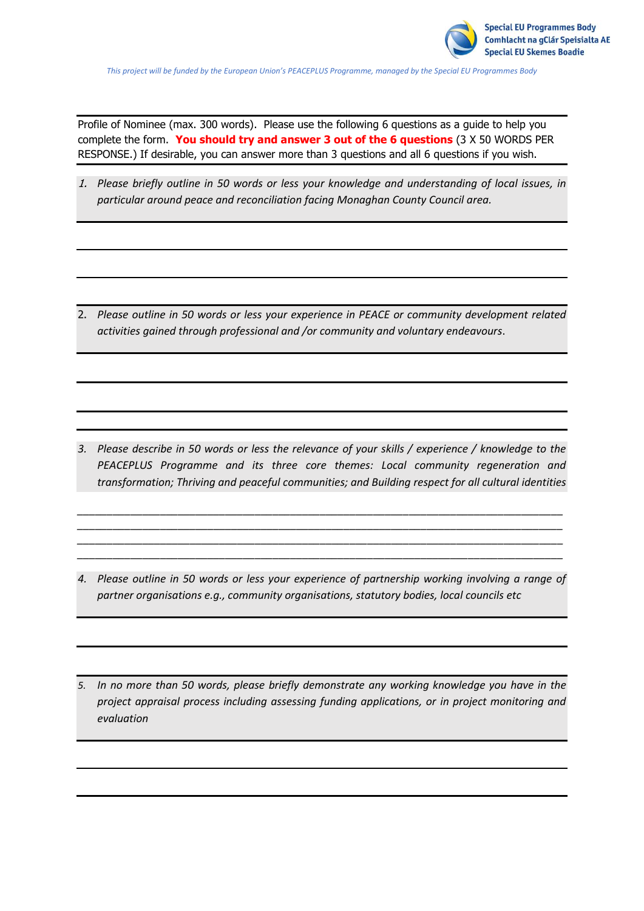*This project will be funded by the European Union's PEACEPLUS Programme, managed by the Special EU Programmes Body*

Profile of Nominee (max. 300 words). Please use the following 6 questions as a guide to help you complete the form. **You should try and answer 3 out of the 6 questions** (3 X 50 WORDS PER RESPONSE.) If desirable, you can answer more than 3 questions and all 6 questions if you wish.

1. *Please briefly outline in 50 words or less your knowledge and understanding of local issues, in particular around peace and reconciliation facing Monaghan County Council area.* 

2. *Please outline in 50 words or less your experience in PEACE or community development related activities gained through professional and /or community and voluntary endeavours*.

*3. Please describe in 50 words or less the relevance of your skills / experience / knowledge to the PEACEPLUS Programme and its three core themes: Local community regeneration and transformation; Thriving and peaceful communities; and Building respect for all cultural identities*

*\_\_\_\_\_\_\_\_\_\_\_\_\_\_\_\_\_\_\_\_\_\_\_\_\_\_\_\_\_\_\_\_\_\_\_\_\_\_\_\_\_\_\_\_\_\_\_\_\_\_\_\_\_\_\_\_\_\_\_\_\_\_\_\_\_\_\_\_\_\_\_\_\_\_\_\_\_\_\_\_\_\_ \_\_\_\_\_\_\_\_\_\_\_\_\_\_\_\_\_\_\_\_\_\_\_\_\_\_\_\_\_\_\_\_\_\_\_\_\_\_\_\_\_\_\_\_\_\_\_\_\_\_\_\_\_\_\_\_\_\_\_\_\_\_\_\_\_\_\_\_\_\_\_\_\_\_\_\_\_\_\_\_\_\_ \_\_\_\_\_\_\_\_\_\_\_\_\_\_\_\_\_\_\_\_\_\_\_\_\_\_\_\_\_\_\_\_\_\_\_\_\_\_\_\_\_\_\_\_\_\_\_\_\_\_\_\_\_\_\_\_\_\_\_\_\_\_\_\_\_\_\_\_\_\_\_\_\_\_\_\_\_\_\_\_\_\_ \_\_\_\_\_\_\_\_\_\_\_\_\_\_\_\_\_\_\_\_\_\_\_\_\_\_\_\_\_\_\_\_\_\_\_\_\_\_\_\_\_\_\_\_\_\_\_\_\_\_\_\_\_\_\_\_\_\_\_\_\_\_\_\_\_\_\_\_\_\_\_\_\_\_\_\_\_\_\_\_\_\_*

- *4. Please outline in 50 words or less your experience of partnership working involving a range of partner organisations e.g., community organisations, statutory bodies, local councils etc*
- *5. In no more than 50 words, please briefly demonstrate any working knowledge you have in the project appraisal process including assessing funding applications, or in project monitoring and evaluation*